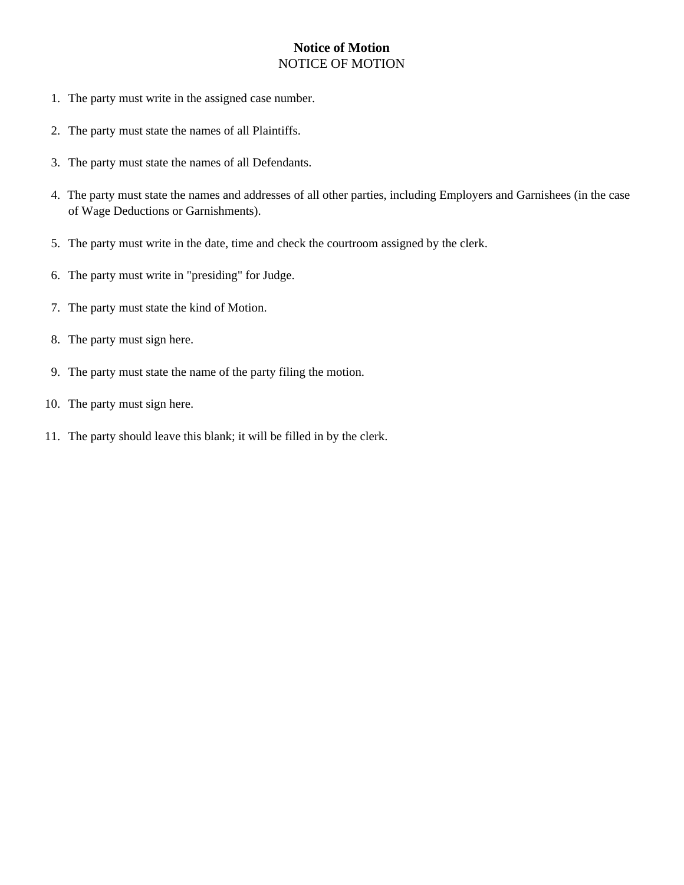## NOTICE OF MOTION **Notice of Motion**

- 1. The party must write in the assigned case number.
- 2. The party must state the names of all Plaintiffs.
- 3. The party must state the names of all Defendants.
- of Wage Deductions or Garnishments). 4. The party must state the names and addresses of all other parties, including Employers and Garnishees (in the case
- 5. The party must write in the date, time and check the courtroom assigned by the clerk.
- 6. The party must write in "presiding" for Judge.
- 7. The party must state the kind of Motion.
- 8. The party must sign here.
- 9. The party must state the name of the party filing the motion.
- 10. The party must sign here.
- 11. The party should leave this blank; it will be filled in by the clerk.